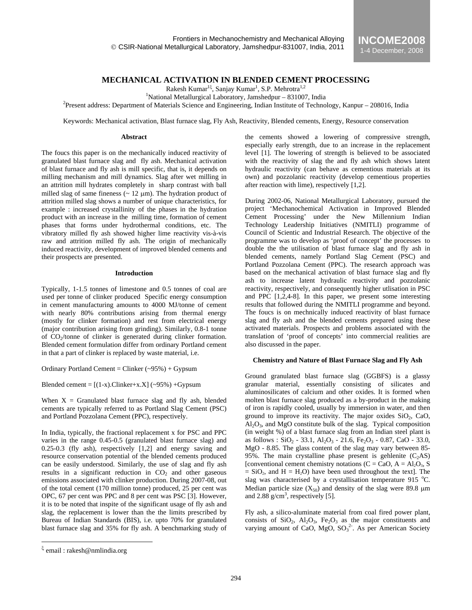# **MECHANICAL ACTIVATION IN BLENDED CEMENT PROCESSING**

Rakesh Kumar<sup>15</sup>, Sanjay Kumar<sup>1</sup>, S.P. Mehrotra<sup>1,2</sup>

<sup>1</sup>National Metallurgical Laboratory, Jamshedpur – 831007, India<br><sup>2</sup>Present eddress: Department of Metarials Science and Engineering, Indian Institute of Technol

 $P$ Present address: Department of Materials Science and Engineering, Indian Institute of Technology, Kanpur – 208016, India

Keywords: Mechanical activation, Blast furnace slag, Fly Ash, Reactivity, Blended cements, Energy, Resource conservation

#### **Abstract**

The foucs this paper is on the mechanically induced reactivity of granulated blast furnace slag and fly ash. Mechanical activation of blast furnace and fly ash is mill specific, that is, it depends on milling mechanism and mill dynamics. Slag after wet milling in an attrition mill hydrates completely in sharp contrast with ball milled slag of same fineness ( $\sim$  12  $\mu$ m). The hydration product of attrition milled slag shows a number of unique characteristics, for example : increased crystallinity of the phases in the hydration product with an increase in the milling time, formation of cement phases that forms under hydrothermal conditions, etc. The vibratory milled fly ash showed higher lime reactivity vis-à-vis raw and attrition milled fly ash. The origin of mechanically induced reactivity, development of improved blended cements and their prospects are presented.

### **Introduction**

Typically, 1-1.5 tonnes of limestone and 0.5 tonnes of coal are used per tonne of clinker produced Specific energy consumption in cement manufacturing amounts to 4000 MJ/tonne of cement with nearly 80% contributions arising from thermal energy (mostly for clinker formation) and rest from electrical energy (major contribution arising from grinding). Similarly, 0.8-1 tonne of CO<sub>2</sub>/tonne of clinker is generated during clinker formation. Blended cement formulation differ from ordinary Portland cement in that a part of clinker is replaced by waste material, i.e.

Ordinary Portland Cement = Clinker (~95%) + Gypsum

Blended cement =  $[(1-x).$ Clinker+x.X] (~95%) +Gypsum

When  $X =$  Granulated blast furnace slag and fly ash, blended cements are typically referred to as Portland Slag Cement (PSC) and Portland Pozzolana Cement (PPC), respectively.

In India, typically, the fractional replacement x for PSC and PPC varies in the range 0.45-0.5 (granulated blast furnace slag) and 0.25-0.3 (fly ash), respectively [1,2] and energy saving and resource conservation potential of the blended cements produced can be easily understood. Similarly, the use of slag and fly ash results in a significant reduction in  $CO<sub>2</sub>$  and other gaseous emissions associated with clinker production. During 2007-08, out of the total cement (170 million tonne) produced, 25 per cent was OPC, 67 per cent was PPC and 8 per cent was PSC [3]. However, it is to be noted that inspite of the significant usage of fly ash and slag, the replacement is lower than the the limits prescribed by Bureau of Indian Standards (BIS), i.e. upto 70% for granulated blast furnace slag and 35% for fly ash. A benchmarking study of the cements showed a lowering of compressive strength, especially early strength, due to an increase in the replacement level [1]. The lowering of strength is believed to be associated with the reactivity of slag the and fly ash which shows latent hydraulic reactivity (can behave as cementious materials at its own) and pozzolanic reactivity (develop cementious properties after reaction with lime), respectively [1,2].

During 2002-06, National Metallurgical Laboratory, pursued the project 'Mechanochemical Activation in Improved Blended Cement Processing' under the New Millennium Indian Technology Leadership Initiatives (NMITLI) programme of Council of Scientic and Industrial Research. The objective of the programme was to develop as 'proof of concept' the processes to double the the utilisation of blast furnace slag and fly ash in blended cements, namely Portland Slag Cement (PSC) and Portland Pozzolana Cement (PPC). The research approach was based on the mechanical activation of blast furnace slag and fly ash to increase latent hydraulic reactivity and pozzolanic reactivity, respectively, and consequently higher utlisation in PSC and PPC [1,2,4-8]. In this paper, we present some interesting results that followed during the NMITLI programme and beyond. The foucs is on mechnically induced reactivity of blast furnace slag and fly ash and the blended cements prepared using these activated materials. Prospects and problems associated with the translation of 'proof of concepts' into commercial realities are also discussed in the paper.

### **Chemistry and Nature of Blast Furnace Slag and Fly Ash**

Ground granulated blast furnace slag (GGBFS) is a glassy granular material, essentially consisting of silicates and aluminosilicates of calcium and other oxides. It is formed when molten blast furnace slag produced as a by-product in the making of iron is rapidly cooled, usually by immersion in water, and then ground to improve its reactivity. The major oxides  $SiO<sub>2</sub>$ , CaO,  $\text{Al}_2\text{O}_3$ , and  $\text{MgO}$  constitute bulk of the slag. Typical composition (in weight %) of a blast furnace slag from an Indian steel plant is as follows :  $SiO_2$  - 33.1, Al<sub>2</sub>O<sub>3</sub> - 21.6, Fe<sub>2</sub>O<sub>3</sub> - 0.87, CaO - 33.0, MgO - 8.85. The glass content of the slag may vary between 85- 95%. The main crystalline phase present is gehlenite  $(C<sub>2</sub>AS)$ [conventional cement chemistry notations  $(C = CaO, A = Al_2O_3, S)$ ]  $=$  SiO<sub>2</sub>, and H  $=$  H<sub>2</sub>O) have been used throughout the text. The slag was characterised by a crystallisation temperature 915  $^{\circ}$ C. Median particle size  $(X_{50})$  and density of the slag were 89.8  $\mu$ m and  $2.88$  g/cm<sup>3</sup>, respectively [5].

Fly ash, a silico-aluminate material from coal fired power plant, consists of  $SiO_2$ ,  $Al_2O_3$ ,  $Fe_2O_3$  as the major constituents and varying amount of CaO, MgO,  $SO_3^2$ . As per American Society

 $\overline{a}$ 

ξ email : rakesh@nmlindia.org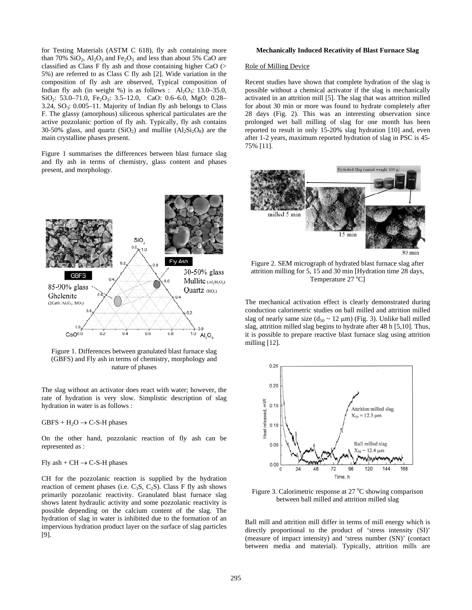for Testing Materials (ASTM C 618), fly ash containing more than 70%  $SiO_2$ ,  $Al_2O_3$  and  $Fe_2O_3$  and less than about 5% CaO are classified as Class F fly ash and those containing higher CaO (> 5%) are referred to as Class C fly ash [2]. Wide variation in the composition of fly ash are observed, Typical composition of Indian fly ash (in weight %) is as follows :  $\text{Al}_2\text{O}_3$ : 13.0–35.0, SiO<sub>2</sub>: 53.0–71.0, Fe<sub>2</sub>O<sub>3</sub>: 3.5–12.0, CaO: 0.6–6.0, MgO: 0.28– 3.24,  $SO_3$ : 0.005–11. Majority of Indian fly ash belongs to Class F. The glassy (amorphous) siliceous spherical particulates are the active pozzolanic portion of fly ash. Typically, fly ash contains 30-50% glass, and quartz  $(SiO<sub>2</sub>)$  and mullite  $(A1<sub>2</sub>Si<sub>2</sub>O<sub>8</sub>)$  are the main crystalline phases present.

Figure 1 summarises the differences between blast furnace slag and fly ash in terms of chemistry, glass content and phases present, and morphology.



Figure 1. Differences between granulated blast furnace slag (GBFS) and Fly ash in terms of chemistry, morphology and nature of phases

The slag without an activator does react with water; however, the rate of hydration is very slow. Simplistic description of slag hydration in water is as follows :

 $GBFS + H<sub>2</sub>O \rightarrow C-S-H phases$ 

On the other hand, pozzolanic reaction of fly ash can be represented as :

### Fly ash +  $CH \rightarrow C-S-H$  phases

CH for the pozzolanic reaction is supplied by the hydration reaction of cement phases (i.e.  $C_3S$ ,  $C_2S$ ). Class F fly ash shows primarily pozzolanic reactivity. Granulated blast furnace slag shows latent hydraulic activity and some pozzolanic reactivity is possible depending on the calcium content of the slag. The hydration of slag in water is inhibited due to the formation of an impervious hydration product layer on the surface of slag particles [9].

#### **Mechanically Induced Recativity of Blast Furnace Slag**

#### Role of Milling Device

Recent studies have shown that complete hydration of the slag is possible without a chemical activator if the slag is mechanically activated in an attrition mill [5]. The slag that was attrition milled for about 30 min or more was found to hydrate completely after 28 days (Fig. 2). This was an interesting observation since prolonged wet ball milling of slag for one month has been reported to result in only 15-20% slag hydration [10] and, even after 1-2 years, maximum reported hydration of slag in PSC is 45- 75% [11].



Figure 2. SEM micrograph of hydrated blast furnace slag after attrition milling for 5, 15 and 30 min [Hydration time 28 days, Temperature  $27^{\circ}$ C]

The mechanical activation effect is clearly demonstrated during conduction calorimetric studies on ball milled and attrition milled slag of nearly same size  $(d_{50} \sim 12 \mu m)$  (Fig. 3). Unlike ball milled slag, attrition milled slag begins to hydrate after 48 h [5,10]. Thus, it is possible to prepare reactive blast furnace slag using attrition milling [12].



Figure 3. Calorimetric response at 27 °C showing comparison between ball milled and attrition milled slag

Ball mill and attrition mill differ in terms of mill energy which is directly proportional to the product of 'stress intensity (SI)' (measure of impact intensity) and 'stress number (SN)' (contact between media and material). Typically, attrition mills are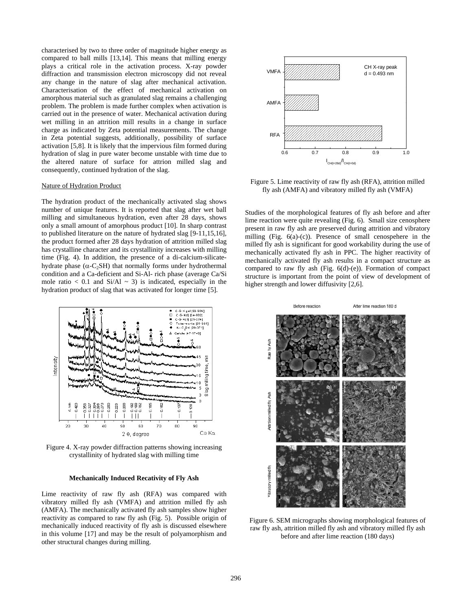characterised by two to three order of magnitude higher energy as compared to ball mills [13,14]. This means that milling energy plays a critical role in the activation process. X-ray powder diffraction and transmission electron microscopy did not reveal any change in the nature of slag after mechanical activation. Characterisation of the effect of mechanical activation on amorphous material such as granulated slag remains a challenging problem. The problem is made further complex when activation is carried out in the presence of water. Mechanical activation during wet milling in an attrition mill results in a change in surface charge as indicated by Zeta potential measurements. The change in Zeta potential suggests, additionally, possibility of surface activation [5,8]. It is likely that the impervious film formed during hydration of slag in pure water become unstable with time due to the altered nature of surface for attrion milled slag and consequently, continued hydration of the slag.

# Nature of Hydration Product

The hydration product of the mechanically activated slag shows number of unique features. It is reported that slag after wet ball milling and simultaneous hydration, even after 28 days, shows only a small amount of amorphous product [10]. In sharp contrast to published literature on the nature of hydrated slag [9-11,15,16], the product formed after 28 days hydration of attrition milled slag has crystalline character and its crystallinity increases with milling time (Fig. 4). In addition, the presence of a di-calcium-silicatehydrate phase ( $\alpha$ -C<sub>2</sub>SH) that normally forms under hydrothermal condition and a Ca-deficient and Si-Al- rich phase (average Ca/Si mole ratio  $< 0.1$  and Si/Al  $\sim 3$ ) is indicated, especially in the hydration product of slag that was activated for longer time [5].



Figure 4. X-ray powder diffraction patterns showing increasing crystallinity of hydrated slag with milling time

## **Mechanically Induced Recativity of Fly Ash**

Lime reactivity of raw fly ash (RFA) was compared with vibratory milled fly ash (VMFA) and attrition milled fly ash (AMFA). The mechanically activated fly ash samples show higher reactivity as compared to raw fly ash (Fig. 5). Possible origin of mechanically induced reactivity of fly ash is discussed elsewhere in this volume [17] and may be the result of polyamorphism and other structural changes during milling.



Figure 5. Lime reactivity of raw fly ash (RFA), attrition milled fly ash (AMFA) and vibratory milled fly ash (VMFA)

Studies of the morphological features of fly ash before and after lime reaction were quite revealing (Fig. 6). Small size cenosphere present in raw fly ash are preserved during attrition and vibratory milling (Fig. 6(a)-(c)). Presence of small cenospehere in the milled fly ash is significant for good workability during the use of mechanically activated fly ash in PPC. The higher reactivity of mechanically activated fly ash results in a compact structure as compared to raw fly ash (Fig. 6(d)-(e)). Formation of compact structure is important from the point of view of development of higher strength and lower diffusivity [2,6].



Figure 6. SEM micrographs showing morphological features of raw fly ash, attrition milled fly ash and vibratory milled fly ash before and after lime reaction (180 days)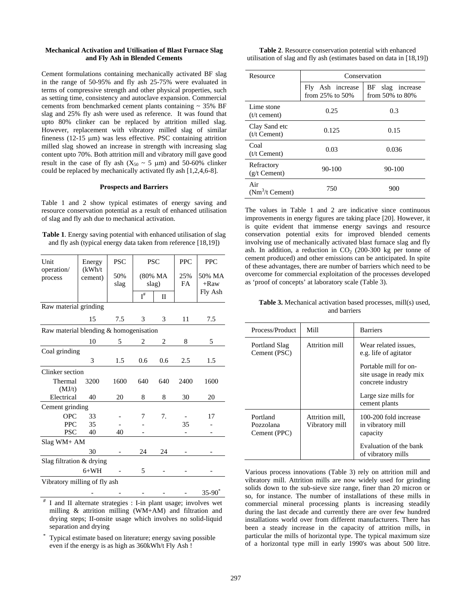# **Mechanical Activation and Utilisation of Blast Furnace Slag and Fly Ash in Blended Cements**

Cement formulations containing mechanically activated BF slag in the range of 50-95% and fly ash 25-75% were evaluated in terms of compressive strength and other physical properties, such as setting time, consistency and autoclave expansion. Commercial cements from benchmarked cement plants containing  $\sim 35\%$  BF slag and 25% fly ash were used as reference. It was found that upto 80% clinker can be replaced by attrition milled slag. However, replacement with vibratory milled slag of similar fineness (12-15 µm) was less effective. PSC containing attrition milled slag showed an increase in strength with increasing slag content upto 70%. Both attrition mill and vibratory mill gave good result in the case of fly ash  $(X_{50} \sim 5 \mu m)$  and 50-60% clinker could be replaced by mechanically activated fly ash [1,2,4,6-8].

#### **Prospects and Barriers**

Table 1 and 2 show typical estimates of energy saving and resource conservation potential as a result of enhanced utilisation of slag and fly ash due to mechanical activation.

**Table 1**. Energy saving potential with enhanced utilisation of slag and fly ash (typical energy data taken from reference [18,19])

| Unit                                   | Energy                            | <b>PSC</b> | <b>PSC</b>     |                  | <b>PPC</b> | <b>PPC</b>        |
|----------------------------------------|-----------------------------------|------------|----------------|------------------|------------|-------------------|
| operation/<br>process                  | (kWh/t)<br>50%<br>cement)<br>slag |            |                | (80% MA<br>slag) | 25%<br>FA  | 50% MA<br>$+$ Raw |
|                                        |                                   |            | $I^{\#}$       | П                |            | Fly Ash           |
| Raw material grinding                  |                                   |            |                |                  |            |                   |
|                                        | 15                                | 7.5        | $\mathfrak{Z}$ | 3                | 11         | 7.5               |
| Raw material blending & homogenisation |                                   |            |                |                  |            |                   |
|                                        | 10                                | 5          | 2              | 2                | 8          | 5                 |
| Coal grinding                          |                                   |            |                |                  |            |                   |
|                                        | 3                                 | 1.5        | 0.6            | 0.6              | 2.5        | 1.5               |
| Clinker section                        |                                   |            |                |                  |            |                   |
| Thermal                                | 3200                              | 1600       | 640            | 640              | 2400       | 1600              |
| (MJ/t)                                 |                                   |            |                |                  |            |                   |
| Electrical                             | 40                                | 20         | 8              | 8                | 30         | 20                |
| Cement grinding                        |                                   |            |                |                  |            |                   |
| <b>OPC</b>                             | 33                                |            | 7              | 7.               |            | 17                |
| <b>PPC</b>                             | 35                                |            |                |                  | 35         |                   |
| <b>PSC</b>                             | 40                                | 40         |                |                  |            |                   |
| Slag WM+ AM                            |                                   |            |                |                  |            |                   |
|                                        | 30                                |            | 24             | 24               |            |                   |
| Slag filtration & drying               |                                   |            |                |                  |            |                   |
|                                        | $6+WH$                            |            | 5              |                  |            |                   |
| Vibratory milling of fly ash           |                                   |            |                |                  |            |                   |
|                                        |                                   |            |                |                  |            | $35 - 90^*$       |

I and II alternate strategies : I-in plant usage; involves wet milling & attrition milling (WM+AM) and filtration and drying steps; II-onsite usage which involves no solid-liquid separation and drying

Typical estimate based on literature; energy saving possible even if the energy is as high as 360kWh/t Fly Ash !

**Table 2**. Resource conservation potential with enhanced utilisation of slag and fly ash (estimates based on data in [18,19])

| Resource                        | Conservation                                 |                                                 |  |  |  |
|---------------------------------|----------------------------------------------|-------------------------------------------------|--|--|--|
|                                 | Fly<br>Ash increase<br>from $25\%$ to $50\%$ | ΒF<br>slag<br>increase<br>from $50\%$ to $80\%$ |  |  |  |
| Lime stone<br>$(t/t$ cement)    | 0.25                                         | 0.3                                             |  |  |  |
| Clay Sand etc<br>$(t/t$ Cement) | 0.125                                        | 0.15                                            |  |  |  |
| Coal<br>$(t/t$ Cement)          | 0.03                                         | 0.036                                           |  |  |  |
| Refractory<br>$(g/t$ Cement)    | $90 - 100$                                   | $90 - 100$                                      |  |  |  |
| Air<br>$(Nm3/t$ Cement)         | 750                                          | 900                                             |  |  |  |

The values in Table 1 and 2 are indicative since continuous improvements in energy figures are taking place [20]. However, it is quite evident that immense energy savings and resource conservation potential exits for improved blended cements involving use of mechanically activated blast furnace slag and fly ash. In addition, a reduction in  $CO<sub>2</sub>$  (200-300 kg per tonne of cement produced) and other emissions can be anticipated. In spite of these advantages, there are number of barriers which need to be overcome for commercial exploitation of the processes developed as 'proof of concepts' at laboratory scale (Table 3).

**Table 3.** Mechanical activation based processes, mill(s) used, and barriers

| Process/Product                                                            | Mill           | <b>Barriers</b>                                                       |  |
|----------------------------------------------------------------------------|----------------|-----------------------------------------------------------------------|--|
| Portland Slag<br>Cement (PSC)                                              | Attrition mill | Wear related issues.<br>e.g. life of agitator                         |  |
|                                                                            |                | Portable mill for on-<br>site usage in ready mix<br>concrete industry |  |
|                                                                            |                | Large size mills for<br>cement plants                                 |  |
| Portland<br>Attrition mill.<br>Pozzolana<br>Vibratory mill<br>Cement (PPC) |                | 100-200 fold increase<br>in vibratory mill<br>capacity                |  |
|                                                                            |                | Evaluation of the bank<br>of vibratory mills                          |  |

Various process innovations (Table 3) rely on attrition mill and vibratory mill. Attrition mills are now widely used for grinding solids down to the sub-sieve size range, finer than 20 micron or so, for instance. The number of installations of these mills in commercial mineral processing plants is increasing steadily during the last decade and currently there are over few hundred installations world over from different manufacturers. There has been a steady increase in the capacity of attrition mills, in particular the mills of horizontal type. The typical maximum size of a horizontal type mill in early 1990's was about 500 litre.